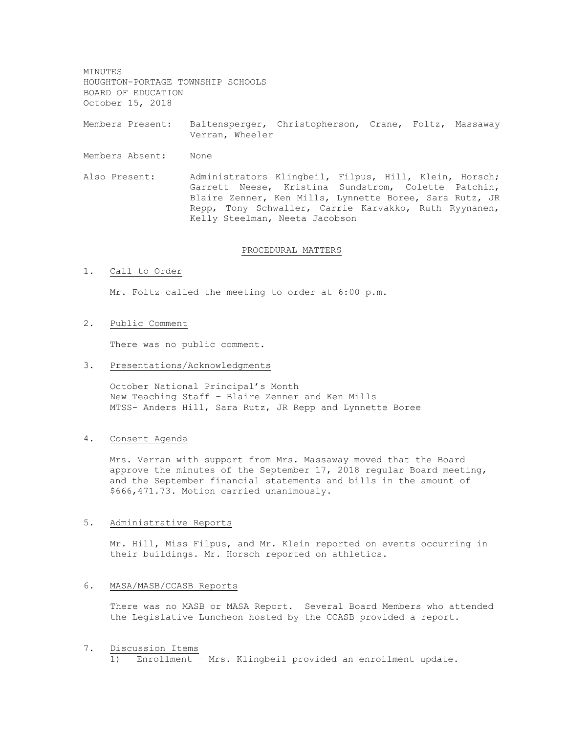MINUTES HOUGHTON-PORTAGE TOWNSHIP SCHOOLS BOARD OF EDUCATION October 15, 2018

Members Present: Baltensperger, Christopherson, Crane, Foltz, Massaway Verran, Wheeler

Members Absent: None

Also Present: Administrators Klingbeil, Filpus, Hill, Klein, Horsch; Garrett Neese, Kristina Sundstrom, Colette Patchin, Blaire Zenner, Ken Mills, Lynnette Boree, Sara Rutz, JR Repp, Tony Schwaller, Carrie Karvakko, Ruth Ryynanen, Kelly Steelman, Neeta Jacobson

### PROCEDURAL MATTERS

#### 1. Call to Order

Mr. Foltz called the meeting to order at 6:00 p.m.

## 2. Public Comment

There was no public comment.

## 3. Presentations/Acknowledgments

October National Principal's Month New Teaching Staff – Blaire Zenner and Ken Mills MTSS- Anders Hill, Sara Rutz, JR Repp and Lynnette Boree

## 4. Consent Agenda

Mrs. Verran with support from Mrs. Massaway moved that the Board approve the minutes of the September 17, 2018 regular Board meeting, and the September financial statements and bills in the amount of \$666,471.73. Motion carried unanimously.

#### 5. Administrative Reports

Mr. Hill, Miss Filpus, and Mr. Klein reported on events occurring in their buildings. Mr. Horsch reported on athletics.

## 6. MASA/MASB/CCASB Reports

There was no MASB or MASA Report. Several Board Members who attended the Legislative Luncheon hosted by the CCASB provided a report.

#### 7. Discussion Items

1) Enrollment – Mrs. Klingbeil provided an enrollment update.